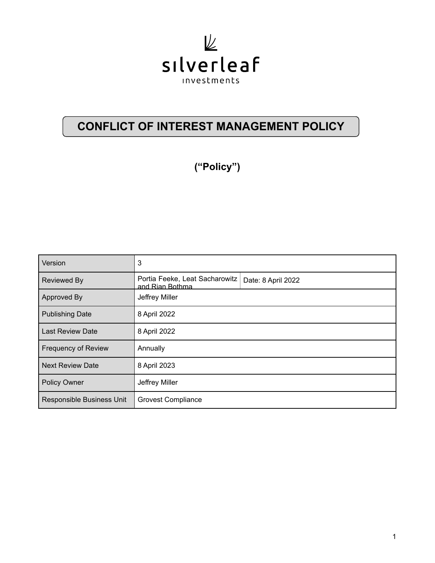

# **CONFLICT OF INTEREST MANAGEMENT POLICY**

**("Policy")**

| Version                    | 3                                                 |                    |
|----------------------------|---------------------------------------------------|--------------------|
| <b>Reviewed By</b>         | Portia Feeke, Leat Sacharowitz<br>and Rian Bothma | Date: 8 April 2022 |
| Approved By                | Jeffrey Miller                                    |                    |
| <b>Publishing Date</b>     | 8 April 2022                                      |                    |
| <b>Last Review Date</b>    | 8 April 2022                                      |                    |
| <b>Frequency of Review</b> | Annually                                          |                    |
| <b>Next Review Date</b>    | 8 April 2023                                      |                    |
| <b>Policy Owner</b>        | Jeffrey Miller                                    |                    |
| Responsible Business Unit  | <b>Grovest Compliance</b>                         |                    |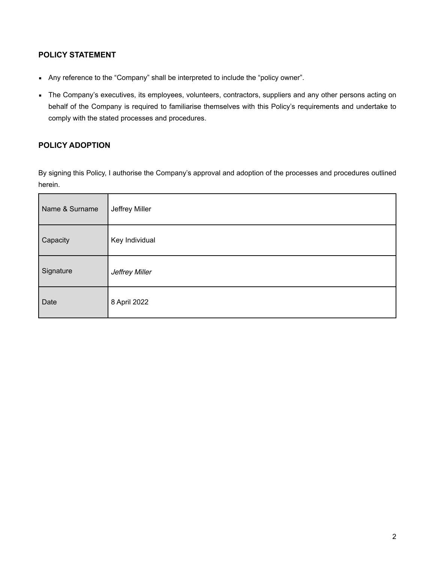# **POLICY STATEMENT**

- Any reference to the "Company" shall be interpreted to include the "policy owner".
- The Company's executives, its employees, volunteers, contractors, suppliers and any other persons acting on behalf of the Company is required to familiarise themselves with this Policy's requirements and undertake to comply with the stated processes and procedures.

# **POLICY ADOPTION**

By signing this Policy, I authorise the Company's approval and adoption of the processes and procedures outlined herein.

| Name & Surname | Jeffrey Miller |
|----------------|----------------|
| Capacity       | Key Individual |
| Signature      | Jeffrey Miller |
| Date           | 8 April 2022   |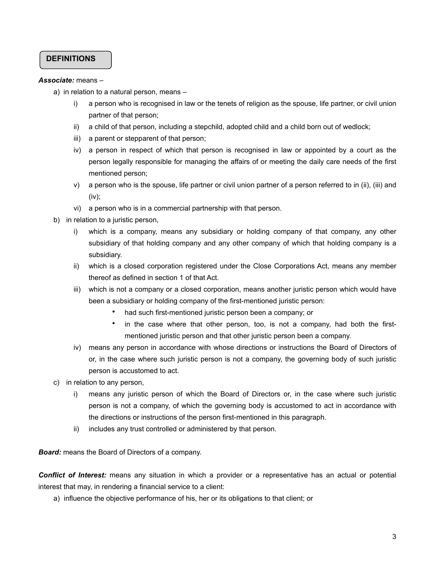## **DEFINITIONS**

#### *Associate:* means –

- a) in relation to a natural person, means
	- i) a person who is recognised in law or the tenets of religion as the spouse, life partner, or civil union partner of that person;
	- ii) a child of that person, including a stepchild, adopted child and a child born out of wedlock;
	- iii) a parent or stepparent of that person;
	- iv) a person in respect of which that person is recognised in law or appointed by a court as the person legally responsible for managing the affairs of or meeting the daily care needs of the first mentioned person;
	- v) a person who is the spouse, life partner or civil union partner of a person referred to in (ii), (iii) and (iv);
	- vi) a person who is in a commercial partnership with that person.
- b) in relation to a juristic person,
	- i) which is a company, means any subsidiary or holding company of that company, any other subsidiary of that holding company and any other company of which that holding company is a subsidiary.
	- ii) which is a closed corporation registered under the Close Corporations Act, means any member thereof as defined in section 1 of that Act.
	- iii) which is not a company or a closed corporation, means another juristic person which would have been a subsidiary or holding company of the first-mentioned juristic person:
		- had such first-mentioned juristic person been a company; or
		- in the case where that other person, too, is not a company, had both the firstmentioned juristic person and that other juristic person been a company.
	- iv) means any person in accordance with whose directions or instructions the Board of Directors of or, in the case where such juristic person is not a company, the governing body of such juristic person is accustomed to act.
- c) in relation to any person,
	- i) means any juristic person of which the Board of Directors or, in the case where such juristic person is not a company, of which the governing body is accustomed to act in accordance with the directions or instructions of the person first-mentioned in this paragraph.
	- ii) includes any trust controlled or administered by that person.

*Board:* means the Board of Directors of a company.

*Conflict of Interest:* means any situation in which a provider or a representative has an actual or potential interest that may, in rendering a financial service to a client:

a) influence the objective performance of his, her or its obligations to that client; or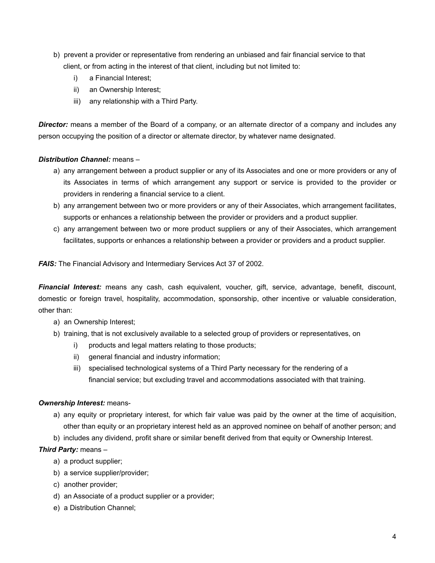- b) prevent a provider or representative from rendering an unbiased and fair financial service to that client, or from acting in the interest of that client, including but not limited to:
	- i) a Financial Interest;
	- ii) an Ownership Interest;
	- iii) any relationship with a Third Party.

*Director:* means a member of the Board of a company, or an alternate director of a company and includes any person occupying the position of a director or alternate director, by whatever name designated.

#### *Distribution Channel:* means –

- a) any arrangement between a product supplier or any of its Associates and one or more providers or any of its Associates in terms of which arrangement any support or service is provided to the provider or providers in rendering a financial service to a client.
- b) any arrangement between two or more providers or any of their Associates, which arrangement facilitates, supports or enhances a relationship between the provider or providers and a product supplier.
- c) any arrangement between two or more product suppliers or any of their Associates, which arrangement facilitates, supports or enhances a relationship between a provider or providers and a product supplier.

**FAIS:** The Financial Advisory and Intermediary Services Act 37 of 2002.

*Financial Interest:* means any cash, cash equivalent, voucher, gift, service, advantage, benefit, discount, domestic or foreign travel, hospitality, accommodation, sponsorship, other incentive or valuable consideration, other than:

- a) an Ownership Interest;
- b) training, that is not exclusively available to a selected group of providers or representatives, on
	- i) products and legal matters relating to those products;
	- ii) general financial and industry information;
	- iii) specialised technological systems of a Third Party necessary for the rendering of a financial service; but excluding travel and accommodations associated with that training.

#### *Ownership Interest:* means-

- a) any equity or proprietary interest, for which fair value was paid by the owner at the time of acquisition, other than equity or an proprietary interest held as an approved nominee on behalf of another person; and
- b) includes any dividend, profit share or similar benefit derived from that equity or Ownership Interest.

### *Third Party:* means –

- a) a product supplier;
- b) a service supplier/provider;
- c) another provider;
- d) an Associate of a product supplier or a provider;
- e) a Distribution Channel;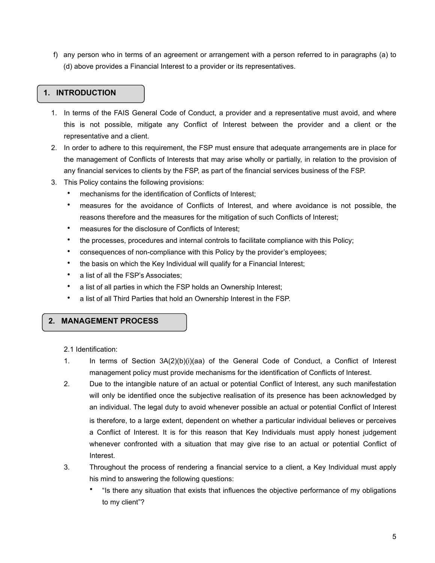f) any person who in terms of an agreement or arrangement with a person referred to in paragraphs (a) to (d) above provides a Financial Interest to a provider or its representatives.

## **1. INTRODUCTION**

- 1. In terms of the FAIS General Code of Conduct, a provider and a representative must avoid, and where this is not possible, mitigate any Conflict of Interest between the provider and a client or the representative and a client.
- 2. In order to adhere to this requirement, the FSP must ensure that adequate arrangements are in place for the management of Conflicts of Interests that may arise wholly or partially, in relation to the provision of any financial services to clients by the FSP, as part of the financial services business of the FSP.
- 3. This Policy contains the following provisions:
	- mechanisms for the identification of Conflicts of Interest:
	- measures for the avoidance of Conflicts of Interest, and where avoidance is not possible, the reasons therefore and the measures for the mitigation of such Conflicts of Interest;
	- measures for the disclosure of Conflicts of Interest;
	- the processes, procedures and internal controls to facilitate compliance with this Policy;
	- consequences of non-compliance with this Policy by the provider's employees;
	- the basis on which the Key Individual will qualify for a Financial Interest;
	- a list of all the FSP's Associates;
	- a list of all parties in which the FSP holds an Ownership Interest;
	- a list of all Third Parties that hold an Ownership Interest in the FSP.

### **2. MANAGEMENT PROCESS**

2.1 Identification:

- 1. In terms of Section 3A(2)(b)(i)(aa) of the General Code of Conduct, a Conflict of Interest management policy must provide mechanisms for the identification of Conflicts of Interest.
- 2. Due to the intangible nature of an actual or potential Conflict of Interest, any such manifestation will only be identified once the subjective realisation of its presence has been acknowledged by an individual. The legal duty to avoid whenever possible an actual or potential Conflict of Interest is therefore, to a large extent, dependent on whether a particular individual believes or perceives a Conflict of Interest. It is for this reason that Key Individuals must apply honest judgement whenever confronted with a situation that may give rise to an actual or potential Conflict of Interest.
- 3. Throughout the process of rendering a financial service to a client, a Key Individual must apply his mind to answering the following questions:
	- "Is there any situation that exists that influences the objective performance of my obligations to my client"?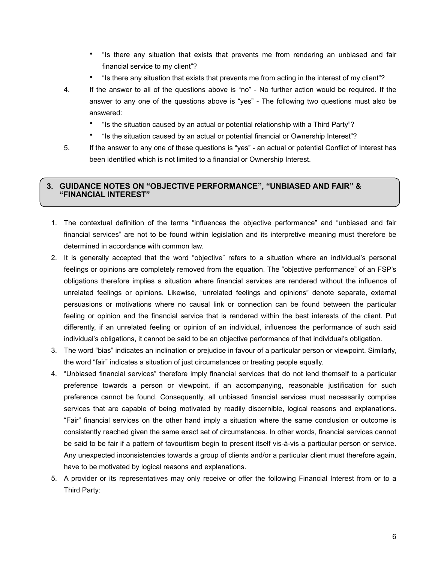- "Is there any situation that exists that prevents me from rendering an unbiased and fair financial service to my client"?
- "Is there any situation that exists that prevents me from acting in the interest of my client"?
- 4. If the answer to all of the questions above is "no" No further action would be required. If the answer to any one of the questions above is "yes" - The following two questions must also be answered:
	- "Is the situation caused by an actual or potential relationship with a Third Party"?
	- "Is the situation caused by an actual or potential financial or Ownership Interest"?
- 5. If the answer to any one of these questions is "yes" an actual or potential Conflict of Interest has been identified which is not limited to a financial or Ownership Interest.

## **3. GUIDANCE NOTES ON "OBJECTIVE PERFORMANCE", "UNBIASED AND FAIR" & "FINANCIAL INTEREST"**

- 1. The contextual definition of the terms "influences the objective performance" and "unbiased and fair financial services" are not to be found within legislation and its interpretive meaning must therefore be determined in accordance with common law.
- 2. It is generally accepted that the word "objective" refers to a situation where an individual's personal feelings or opinions are completely removed from the equation. The "objective performance" of an FSP's obligations therefore implies a situation where financial services are rendered without the influence of unrelated feelings or opinions. Likewise, "unrelated feelings and opinions" denote separate, external persuasions or motivations where no causal link or connection can be found between the particular feeling or opinion and the financial service that is rendered within the best interests of the client. Put differently, if an unrelated feeling or opinion of an individual, influences the performance of such said individual's obligations, it cannot be said to be an objective performance of that individual's obligation.
- 3. The word "bias" indicates an inclination or prejudice in favour of a particular person or viewpoint. Similarly, the word "fair" indicates a situation of just circumstances or treating people equally.
- 4. "Unbiased financial services" therefore imply financial services that do not lend themself to a particular preference towards a person or viewpoint, if an accompanying, reasonable justification for such preference cannot be found. Consequently, all unbiased financial services must necessarily comprise services that are capable of being motivated by readily discernible, logical reasons and explanations. "Fair" financial services on the other hand imply a situation where the same conclusion or outcome is consistently reached given the same exact set of circumstances. In other words, financial services cannot be said to be fair if a pattern of favouritism begin to present itself vis-à-vis a particular person or service. Any unexpected inconsistencies towards a group of clients and/or a particular client must therefore again, have to be motivated by logical reasons and explanations.
- 5. A provider or its representatives may only receive or offer the following Financial Interest from or to a Third Party: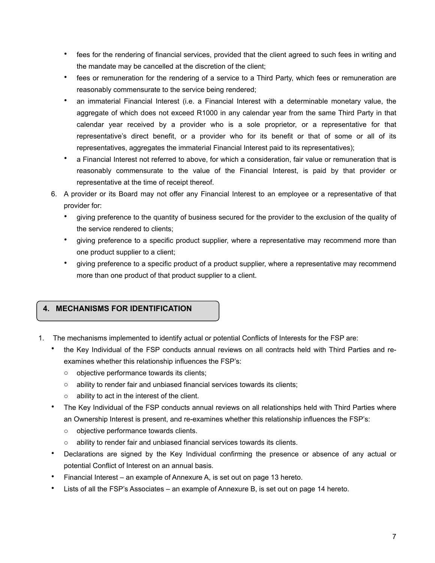- fees for the rendering of financial services, provided that the client agreed to such fees in writing and the mandate may be cancelled at the discretion of the client;
- fees or remuneration for the rendering of a service to a Third Party, which fees or remuneration are reasonably commensurate to the service being rendered;
- an immaterial Financial Interest (i.e. a Financial Interest with a determinable monetary value, the aggregate of which does not exceed R1000 in any calendar year from the same Third Party in that calendar year received by a provider who is a sole proprietor, or a representative for that representative's direct benefit, or a provider who for its benefit or that of some or all of its representatives, aggregates the immaterial Financial Interest paid to its representatives);
- a Financial Interest not referred to above, for which a consideration, fair value or remuneration that is reasonably commensurate to the value of the Financial Interest, is paid by that provider or representative at the time of receipt thereof.
- 6. A provider or its Board may not offer any Financial Interest to an employee or a representative of that provider for:
	- giving preference to the quantity of business secured for the provider to the exclusion of the quality of the service rendered to clients;
	- giving preference to a specific product supplier, where a representative may recommend more than one product supplier to a client;
	- giving preference to a specific product of a product supplier, where a representative may recommend more than one product of that product supplier to a client.

# **4. MECHANISMS FOR IDENTIFICATION**

- 1. The mechanisms implemented to identify actual or potential Conflicts of Interests for the FSP are:
	- the Key Individual of the FSP conducts annual reviews on all contracts held with Third Parties and reexamines whether this relationship influences the FSP's:
		- o objective performance towards its clients;
		- $\circ$  ability to render fair and unbiased financial services towards its clients;
		- $\circ$  ability to act in the interest of the client.
	- The Key Individual of the FSP conducts annual reviews on all relationships held with Third Parties where an Ownership Interest is present, and re-examines whether this relationship influences the FSP's:
		- o objective performance towards clients.
		- ability to render fair and unbiased financial services towards its clients.
	- Declarations are signed by the Key Individual confirming the presence or absence of any actual or potential Conflict of Interest on an annual basis.
	- Financial Interest an example of Annexure A, is set out on page 13 hereto.
	- Lists of all the FSP's Associates an example of Annexure B, is set out on page 14 hereto.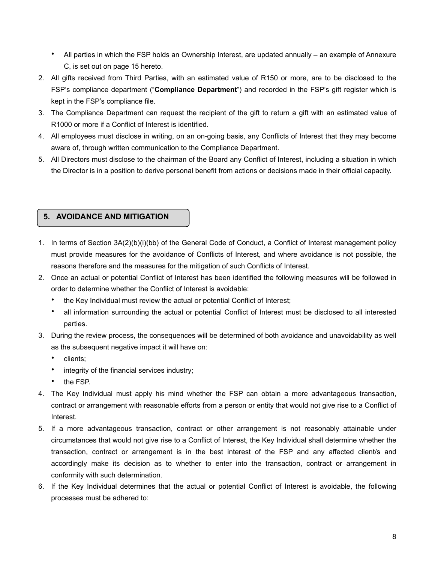- All parties in which the FSP holds an Ownership Interest, are updated annually an example of Annexure C, is set out on page 15 hereto.
- 2. All gifts received from Third Parties, with an estimated value of R150 or more, are to be disclosed to the FSP's compliance department ("**Compliance Department**") and recorded in the FSP's gift register which is kept in the FSP's compliance file.
- 3. The Compliance Department can request the recipient of the gift to return a gift with an estimated value of R1000 or more if a Conflict of Interest is identified.
- 4. All employees must disclose in writing, on an on-going basis, any Conflicts of Interest that they may become aware of, through written communication to the Compliance Department.
- 5. All Directors must disclose to the chairman of the Board any Conflict of Interest, including a situation in which the Director is in a position to derive personal benefit from actions or decisions made in their official capacity.

# **5. AVOIDANCE AND MITIGATION**

- 1. In terms of Section 3A(2)(b)(i)(bb) of the General Code of Conduct, a Conflict of Interest management policy must provide measures for the avoidance of Conflicts of Interest, and where avoidance is not possible, the reasons therefore and the measures for the mitigation of such Conflicts of Interest.
- 2. Once an actual or potential Conflict of Interest has been identified the following measures will be followed in order to determine whether the Conflict of Interest is avoidable:
	- the Key Individual must review the actual or potential Conflict of Interest;
	- all information surrounding the actual or potential Conflict of Interest must be disclosed to all interested parties.
- 3. During the review process, the consequences will be determined of both avoidance and unavoidability as well as the subsequent negative impact it will have on:
	- clients;
	- integrity of the financial services industry;
	- the FSP.
- 4. The Key Individual must apply his mind whether the FSP can obtain a more advantageous transaction, contract or arrangement with reasonable efforts from a person or entity that would not give rise to a Conflict of Interest.
- 5. If a more advantageous transaction, contract or other arrangement is not reasonably attainable under circumstances that would not give rise to a Conflict of Interest, the Key Individual shall determine whether the transaction, contract or arrangement is in the best interest of the FSP and any affected client/s and accordingly make its decision as to whether to enter into the transaction, contract or arrangement in conformity with such determination.
- 6. If the Key Individual determines that the actual or potential Conflict of Interest is avoidable, the following processes must be adhered to: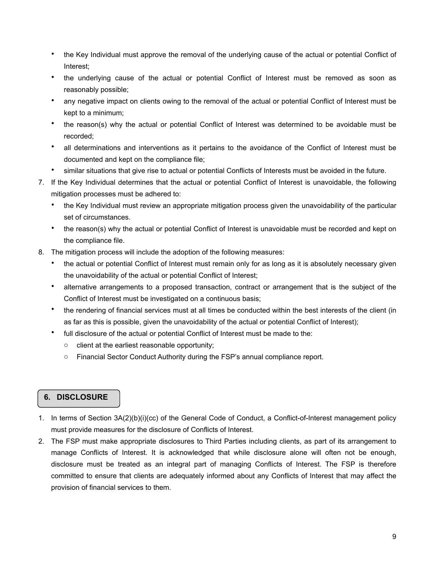- the Key Individual must approve the removal of the underlying cause of the actual or potential Conflict of Interest;
- the underlying cause of the actual or potential Conflict of Interest must be removed as soon as reasonably possible;
- any negative impact on clients owing to the removal of the actual or potential Conflict of Interest must be kept to a minimum;
- the reason(s) why the actual or potential Conflict of Interest was determined to be avoidable must be recorded;
- all determinations and interventions as it pertains to the avoidance of the Conflict of Interest must be documented and kept on the compliance file;
- similar situations that give rise to actual or potential Conflicts of Interests must be avoided in the future.
- 7. If the Key Individual determines that the actual or potential Conflict of Interest is unavoidable, the following mitigation processes must be adhered to:
	- the Key Individual must review an appropriate mitigation process given the unavoidability of the particular set of circumstances.
	- the reason(s) why the actual or potential Conflict of Interest is unavoidable must be recorded and kept on the compliance file.
- 8. The mitigation process will include the adoption of the following measures:
	- the actual or potential Conflict of Interest must remain only for as long as it is absolutely necessary given the unavoidability of the actual or potential Conflict of Interest;
	- alternative arrangements to a proposed transaction, contract or arrangement that is the subject of the Conflict of Interest must be investigated on a continuous basis;
	- the rendering of financial services must at all times be conducted within the best interests of the client (in as far as this is possible, given the unavoidability of the actual or potential Conflict of Interest);
	- full disclosure of the actual or potential Conflict of Interest must be made to the:
		- o client at the earliest reasonable opportunity;
		- o Financial Sector Conduct Authority during the FSP's annual compliance report.

# **6. DISCLOSURE**

- 1. In terms of Section 3A(2)(b)(i)(cc) of the General Code of Conduct, a Conflict-of-Interest management policy must provide measures for the disclosure of Conflicts of Interest.
- 2. The FSP must make appropriate disclosures to Third Parties including clients, as part of its arrangement to manage Conflicts of Interest. It is acknowledged that while disclosure alone will often not be enough, disclosure must be treated as an integral part of managing Conflicts of Interest. The FSP is therefore committed to ensure that clients are adequately informed about any Conflicts of Interest that may affect the provision of financial services to them.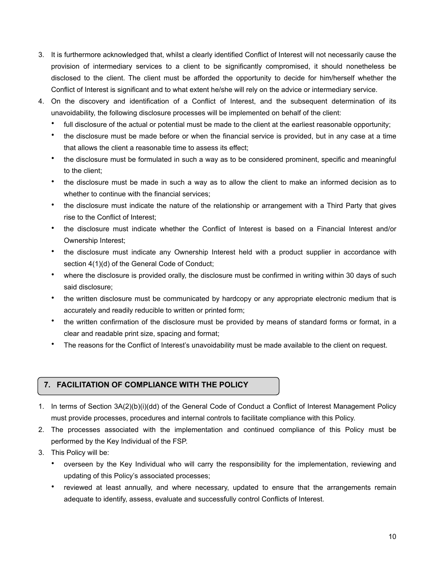- 3. It is furthermore acknowledged that, whilst a clearly identified Conflict of Interest will not necessarily cause the provision of intermediary services to a client to be significantly compromised, it should nonetheless be disclosed to the client. The client must be afforded the opportunity to decide for him/herself whether the Conflict of Interest is significant and to what extent he/she will rely on the advice or intermediary service.
- 4. On the discovery and identification of a Conflict of Interest, and the subsequent determination of its unavoidability, the following disclosure processes will be implemented on behalf of the client:
	- full disclosure of the actual or potential must be made to the client at the earliest reasonable opportunity;
	- the disclosure must be made before or when the financial service is provided, but in any case at a time that allows the client a reasonable time to assess its effect;
	- the disclosure must be formulated in such a way as to be considered prominent, specific and meaningful to the client;
	- the disclosure must be made in such a way as to allow the client to make an informed decision as to whether to continue with the financial services;
	- the disclosure must indicate the nature of the relationship or arrangement with a Third Party that gives rise to the Conflict of Interest;
	- the disclosure must indicate whether the Conflict of Interest is based on a Financial Interest and/or Ownership Interest;
	- the disclosure must indicate any Ownership Interest held with a product supplier in accordance with section 4(1)(d) of the General Code of Conduct;
	- where the disclosure is provided orally, the disclosure must be confirmed in writing within 30 days of such said disclosure;
	- the written disclosure must be communicated by hardcopy or any appropriate electronic medium that is accurately and readily reducible to written or printed form;
	- the written confirmation of the disclosure must be provided by means of standard forms or format, in a clear and readable print size, spacing and format;
	- The reasons for the Conflict of Interest's unavoidability must be made available to the client on request.

# **7. FACILITATION OF COMPLIANCE WITH THE POLICY**

- 1. In terms of Section 3A(2)(b)(i)(dd) of the General Code of Conduct a Conflict of Interest Management Policy must provide processes, procedures and internal controls to facilitate compliance with this Policy.
- 2. The processes associated with the implementation and continued compliance of this Policy must be performed by the Key Individual of the FSP.
- 3. This Policy will be:
	- overseen by the Key Individual who will carry the responsibility for the implementation, reviewing and updating of this Policy's associated processes;
	- reviewed at least annually, and where necessary, updated to ensure that the arrangements remain adequate to identify, assess, evaluate and successfully control Conflicts of Interest.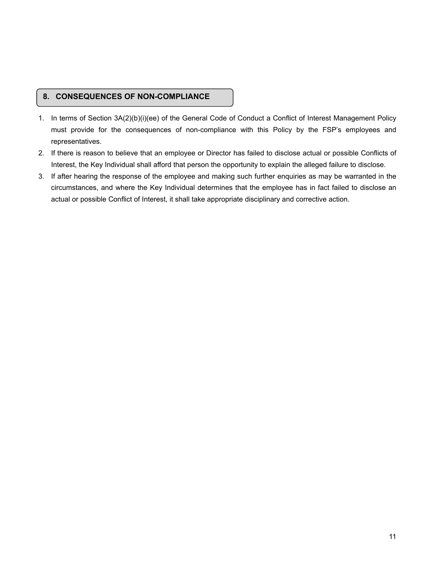## **8. CONSEQUENCES OF NON-COMPLIANCE**

- 1. In terms of Section 3A(2)(b)(i)(ee) of the General Code of Conduct a Conflict of Interest Management Policy must provide for the consequences of non-compliance with this Policy by the FSP's employees and representatives.
- 2. If there is reason to believe that an employee or Director has failed to disclose actual or possible Conflicts of Interest, the Key Individual shall afford that person the opportunity to explain the alleged failure to disclose.
- 3. If after hearing the response of the employee and making such further enquiries as may be warranted in the circumstances, and where the Key Individual determines that the employee has in fact failed to disclose an actual or possible Conflict of Interest, it shall take appropriate disciplinary and corrective action.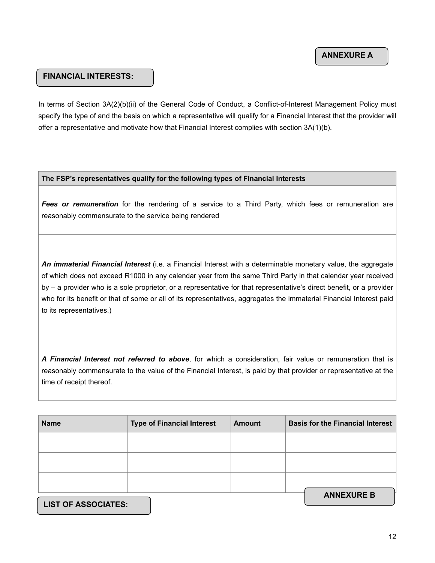#### **FINANCIAL INTERESTS:**

In terms of Section 3A(2)(b)(ii) of the General Code of Conduct, a Conflict-of-Interest Management Policy must specify the type of and the basis on which a representative will qualify for a Financial Interest that the provider will offer a representative and motivate how that Financial Interest complies with section 3A(1)(b).

#### **The FSP's representatives qualify for the following types of Financial Interests**

*Fees or remuneration* for the rendering of a service to a Third Party, which fees or remuneration are reasonably commensurate to the service being rendered

*An immaterial Financial Interest* (i.e. a Financial Interest with a determinable monetary value, the aggregate of which does not exceed R1000 in any calendar year from the same Third Party in that calendar year received by – a provider who is a sole proprietor, or a representative for that representative's direct benefit, or a provider who for its benefit or that of some or all of its representatives, aggregates the immaterial Financial Interest paid to its representatives.)

*A Financial Interest not referred to above*, for which a consideration, fair value or remuneration that is reasonably commensurate to the value of the Financial Interest, is paid by that provider or representative at the time of receipt thereof.

| <b>Name</b>                | <b>Type of Financial Interest</b> | <b>Amount</b> | <b>Basis for the Financial Interest</b> |
|----------------------------|-----------------------------------|---------------|-----------------------------------------|
|                            |                                   |               |                                         |
|                            |                                   |               |                                         |
|                            |                                   |               |                                         |
| <b>LIST OF ASSOCIATES:</b> |                                   |               | <b>ANNEXURE B</b>                       |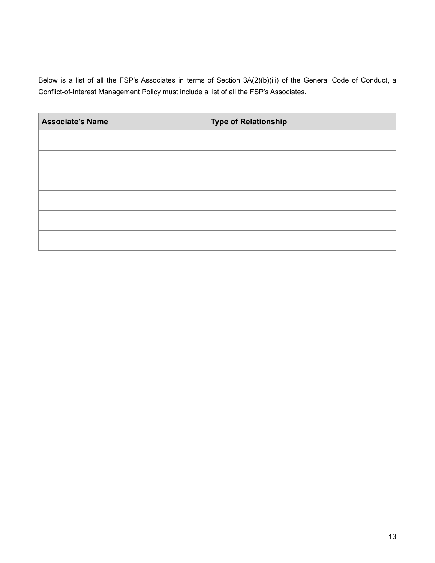Below is a list of all the FSP's Associates in terms of Section 3A(2)(b)(iii) of the General Code of Conduct, a Conflict-of-Interest Management Policy must include a list of all the FSP's Associates.

| <b>Associate's Name</b> | <b>Type of Relationship</b> |
|-------------------------|-----------------------------|
|                         |                             |
|                         |                             |
|                         |                             |
|                         |                             |
|                         |                             |
|                         |                             |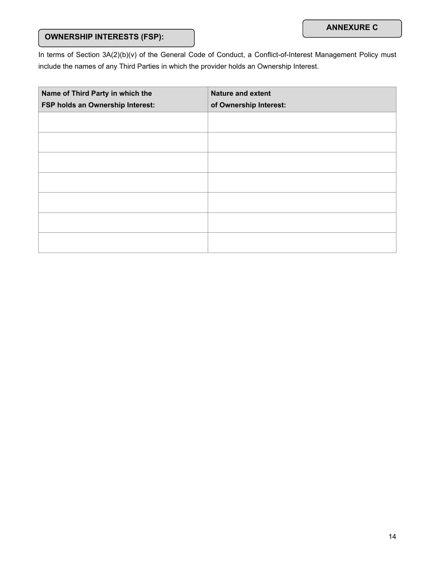# **OWNERSHIP INTERESTS (FSP):**

In terms of Section 3A(2)(b)(v) of the General Code of Conduct, a Conflict-of-Interest Management Policy must include the names of any Third Parties in which the provider holds an Ownership Interest.

| Name of Third Party in which the<br>FSP holds an Ownership Interest: | <b>Nature and extent</b><br>of Ownership Interest: |
|----------------------------------------------------------------------|----------------------------------------------------|
|                                                                      |                                                    |
|                                                                      |                                                    |
|                                                                      |                                                    |
|                                                                      |                                                    |
|                                                                      |                                                    |
|                                                                      |                                                    |
|                                                                      |                                                    |